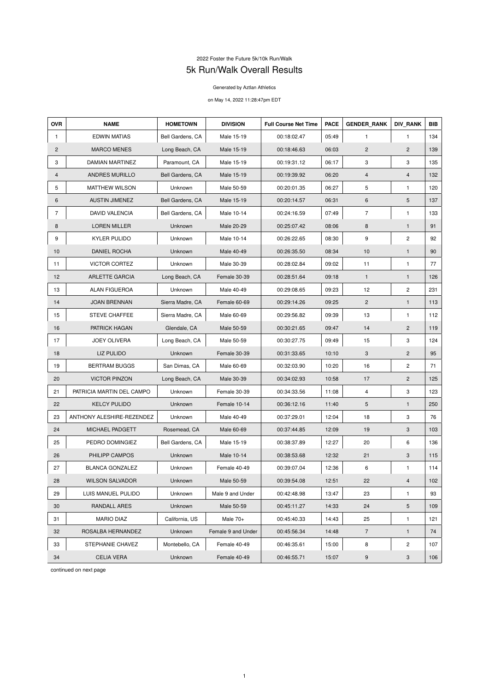## 2022 Foster the Future 5k/10k Run/Walk 5k Run/Walk Overall Results

## Generated by Aztlan Athletics

## on May 14, 2022 11:28:47pm EDT

| <b>OVR</b>     | <b>NAME</b>               | <b>HOMETOWN</b>  | <b>DIVISION</b>    | <b>Full Course Net Time</b> | <b>PACE</b> | <b>GENDER_RANK</b> | <b>DIV_RANK</b> | <b>BIB</b> |
|----------------|---------------------------|------------------|--------------------|-----------------------------|-------------|--------------------|-----------------|------------|
| 1.             | <b>EDWIN MATIAS</b>       | Bell Gardens, CA | Male 15-19         | 00:18:02.47                 | 05:49       | $\mathbf{1}$       | $\mathbf{1}$    | 134        |
| $\overline{2}$ | <b>MARCO MENES</b>        | Long Beach, CA   | Male 15-19         | 00:18:46.63                 | 06:03       | $\overline{c}$     | $\mathbf{2}$    | 139        |
| 3              | <b>DAMIAN MARTINEZ</b>    | Paramount, CA    | Male 15-19         | 00:19:31.12                 | 06:17       | 3                  | 3               | 135        |
| 4              | ANDRES MURILLO            | Bell Gardens, CA | Male 15-19         | 00:19:39.92                 | 06:20       | 4                  | $\overline{4}$  | 132        |
| 5              | <b>MATTHEW WILSON</b>     | Unknown          | Male 50-59         | 00:20:01.35                 | 06:27       | 5                  | $\mathbf{1}$    | 120        |
| 6              | <b>AUSTIN JIMENEZ</b>     | Bell Gardens, CA | Male 15-19         | 00:20:14.57                 | 06:31       | 6                  | $\sqrt{5}$      | 137        |
| $\overline{7}$ | <b>DAVID VALENCIA</b>     | Bell Gardens, CA | Male 10-14         | 00:24:16.59                 | 07:49       | $\overline{7}$     | $\mathbf{1}$    | 133        |
| 8              | <b>LOREN MILLER</b>       | Unknown          | Male 20-29         | 00:25:07.42                 | 08:06       | $\bf 8$            | $\mathbf{1}$    | 91         |
| 9              | <b>KYLER PULIDO</b>       | Unknown          | Male 10-14         | 00:26:22.65                 | 08:30       | 9                  | $\overline{c}$  | 92         |
| 10             | <b>DANIEL ROCHA</b>       | Unknown          | Male 40-49         | 00:26:35.50                 | 08:34       | 10                 | $\mathbf{1}$    | 90         |
| 11             | <b>VICTOR CORTEZ</b>      | Unknown          | Male 30-39         | 00:28:02.84                 | 09:02       | 11                 | $\mathbf{1}$    | 77         |
| 12             | <b>ARLETTE GARCIA</b>     | Long Beach, CA   | Female 30-39       | 00:28:51.64                 | 09:18       | $\mathbf{1}$       | $\mathbf{1}$    | 126        |
| 13             | <b>ALAN FIGUEROA</b>      | Unknown          | Male 40-49         | 00:29:08.65                 | 09:23       | 12                 | $\overline{c}$  | 231        |
| 14             | <b>JOAN BRENNAN</b>       | Sierra Madre, CA | Female 60-69       | 00:29:14.26                 | 09:25       | $\overline{c}$     | $\mathbf{1}$    | 113        |
| 15             | STEVE CHAFFEE             | Sierra Madre, CA | Male 60-69         | 00:29:56.82                 | 09:39       | 13                 | $\mathbf{1}$    | 112        |
| 16             | PATRICK HAGAN             | Glendale, CA     | Male 50-59         | 00:30:21.65                 | 09:47       | 14                 | $\overline{c}$  | 119        |
| 17             | JOEY OLIVERA              | Long Beach, CA   | Male 50-59         | 00:30:27.75                 | 09:49       | 15                 | 3               | 124        |
| 18             | <b>LIZ PULIDO</b>         | Unknown          | Female 30-39       | 00:31:33.65                 | 10:10       | 3                  | $\mathbf{2}$    | 95         |
| 19             | <b>BERTRAM BUGGS</b>      | San Dimas, CA    | Male 60-69         | 00:32:03.90                 | 10:20       | 16                 | $\overline{c}$  | 71         |
| 20             | <b>VICTOR PINZON</b>      | Long Beach, CA   | Male 30-39         | 00:34:02.93                 | 10:58       | 17                 | $\mathbf{2}$    | 125        |
| 21             | PATRICIA MARTIN DEL CAMPO | Unknown          | Female 30-39       | 00:34:33.56                 | 11:08       | 4                  | 3               | 123        |
| 22             | <b>KELCY PULIDO</b>       | Unknown          | Female 10-14       | 00:36:12.16                 | 11:40       | 5                  | $\mathbf{1}$    | 250        |
| 23             | ANTHONY ALESHIRE-REZENDEZ | Unknown          | Male 40-49         | 00:37:29.01                 | 12:04       | 18                 | 3               | 76         |
| 24             | MICHAEL PADGETT           | Rosemead, CA     | Male 60-69         | 00:37:44.85                 | 12:09       | 19                 | 3               | 103        |
| 25             | PEDRO DOMINGIEZ           | Bell Gardens, CA | Male 15-19         | 00:38:37.89                 | 12:27       | 20                 | 6               | 136        |
| 26             | PHILIPP CAMPOS            | Unknown          | Male 10-14         | 00:38:53.68                 | 12:32       | 21                 | 3               | 115        |
| 27             | <b>BLANCA GONZALEZ</b>    | Unknown          | Female 40-49       | 00:39:07.04                 | 12:36       | 6                  | $\mathbf{1}$    | 114        |
| 28             | <b>WILSON SALVADOR</b>    | Unknown          | Male 50-59         | 00:39:54.08                 | 12:51       | 22                 | $\overline{4}$  | 102        |
| 29             | LUIS MANUEL PULIDO        | Unknown          | Male 9 and Under   | 00:42:48.98                 | 13:47       | 23                 | $\mathbf{1}$    | 93         |
| 30             | RANDALL ARES              | Unknown          | Male 50-59         | 00:45:11.27                 | 14:33       | 24                 | 5               | 109        |
| 31             | <b>MARIO DIAZ</b>         | California, US   | Male $70+$         | 00:45:40.33                 | 14:43       | 25                 | $\mathbf{1}$    | 121        |
| 32             | ROSALBA HERNANDEZ         | Unknown          | Female 9 and Under | 00:45:56.34                 | 14:48       | $\overline{7}$     | $\mathbf{1}$    | 74         |
| 33             | STEPHANIE CHAVEZ          | Montebello, CA   | Female 40-49       | 00:46:35.61                 | 15:00       | 8                  | $\overline{c}$  | 107        |
| 34             | <b>CELIA VERA</b>         | Unknown          | Female 40-49       | 00:46:55.71                 | 15:07       | 9                  | 3               | 106        |

continued on next page